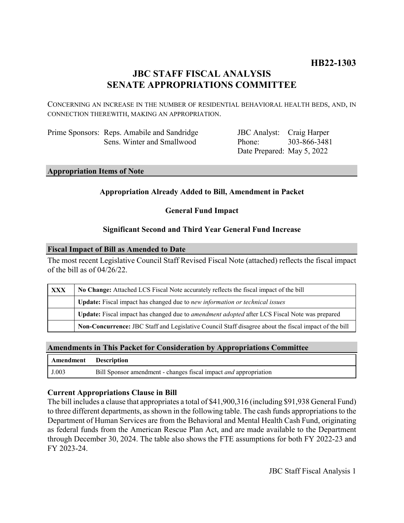# **JBC STAFF FISCAL ANALYSIS SENATE APPROPRIATIONS COMMITTEE**

CONCERNING AN INCREASE IN THE NUMBER OF RESIDENTIAL BEHAVIORAL HEALTH BEDS, AND, IN CONNECTION THEREWITH, MAKING AN APPROPRIATION.

| Prime Sponsors: Reps. Amabile and Sandridge |
|---------------------------------------------|
| Sens. Winter and Smallwood                  |

JBC Analyst: Craig Harper Phone: Date Prepared: May 5, 2022 303-866-3481

## **Appropriation Items of Note**

## **Appropriation Already Added to Bill, Amendment in Packet**

**General Fund Impact**

## **Significant Second and Third Year General Fund Increase**

### **Fiscal Impact of Bill as Amended to Date**

The most recent Legislative Council Staff Revised Fiscal Note (attached) reflects the fiscal impact of the bill as of 04/26/22.

| XXX | No Change: Attached LCS Fiscal Note accurately reflects the fiscal impact of the bill                 |  |  |  |  |
|-----|-------------------------------------------------------------------------------------------------------|--|--|--|--|
|     | Update: Fiscal impact has changed due to new information or technical issues                          |  |  |  |  |
|     | Update: Fiscal impact has changed due to <i>amendment adopted</i> after LCS Fiscal Note was prepared  |  |  |  |  |
|     | Non-Concurrence: JBC Staff and Legislative Council Staff disagree about the fiscal impact of the bill |  |  |  |  |

## **Amendments in This Packet for Consideration by Appropriations Committee**

| Amendment Description |                                                                         |
|-----------------------|-------------------------------------------------------------------------|
| J.003                 | Bill Sponsor amendment - changes fiscal impact <i>and</i> appropriation |

## **Current Appropriations Clause in Bill**

The bill includes a clause that appropriates a total of \$41,900,316 (including \$91,938 General Fund) to three different departments, as shown in the following table. The cash funds appropriations to the Department of Human Services are from the Behavioral and Mental Health Cash Fund, originating as federal funds from the American Rescue Plan Act, and are made available to the Department through December 30, 2024. The table also shows the FTE assumptions for both FY 2022-23 and FY 2023-24.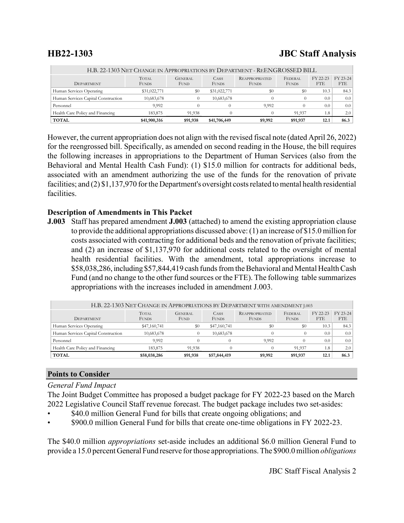# **HB22-1303 JBC Staff Analysis**

| H.B. 22-1303 NET CHANGE IN APPROPRIATIONS BY DEPARTMENT - REENGROSSED BILL |                              |                               |                             |                                       |                                |                        |                        |  |  |
|----------------------------------------------------------------------------|------------------------------|-------------------------------|-----------------------------|---------------------------------------|--------------------------------|------------------------|------------------------|--|--|
| <b>DEPARTMENT</b>                                                          | <b>TOTAL</b><br><b>FUNDS</b> | <b>GENERAL</b><br><b>FUND</b> | <b>CASH</b><br><b>FUNDS</b> | <b>REAPPROPRIATED</b><br><b>FUNDS</b> | <b>FEDERAL</b><br><b>FUNDS</b> | FY 22-23<br><b>FTE</b> | FY 23-24<br><b>FTE</b> |  |  |
| Human Services Operating                                                   | \$31,022,771                 | \$0                           | \$31,022,771                | $\$0$                                 | \$0                            | 10.3                   | 84.3                   |  |  |
| Human Services Capital Construction                                        | 10,683,678                   |                               | 10,683,678                  |                                       |                                | 0.0                    | 0.0                    |  |  |
| Personnel                                                                  | 9.992                        |                               |                             | 9.992                                 |                                | 0.0                    | 0.0                    |  |  |
| Health Care Policy and Financing                                           | 183,875                      | 91.938                        |                             |                                       | 91.937                         | 1.8                    | 2.0                    |  |  |
| <b>TOTAL</b>                                                               | \$41,900,316                 | \$91,938                      | \$41,706,449                | \$9,992                               | \$91,937                       | 12.1                   | 86.3                   |  |  |

However, the current appropriation does not align with the revised fiscal note (dated April 26, 2022) for the reengrossed bill. Specifically, as amended on second reading in the House, the bill requires the following increases in appropriations to the Department of Human Services (also from the Behavioral and Mental Health Cash Fund): (1) \$15.0 million for contracts for additional beds, associated with an amendment authorizing the use of the funds for the renovation of private facilities; and (2) \$1,137,970 for the Department's oversight costs related to mental health residential facilities.

## **Description of Amendments in This Packet**

**J.003** Staff has prepared amendment **J.003** (attached) to amend the existing appropriation clause to provide the additional appropriations discussed above: (1) an increase of \$15.0 million for costs associated with contracting for additional beds and the renovation of private facilities; and (2) an increase of \$1,137,970 for additional costs related to the oversight of mental health residential facilities. With the amendment, total appropriations increase to \$58,038,286, including \$57,844,419 cash funds from the Behavioral and Mental Health Cash Fund (and no change to the other fund sources or the FTE). The following table summarizes appropriations with the increases included in amendment J.003.

| H.B. 22-1303 NET CHANGE IN APPROPRIATIONS BY DEPARTMENT WITH AMENDMENT J.003 |                              |                               |                             |                                       |                         |                 |                        |
|------------------------------------------------------------------------------|------------------------------|-------------------------------|-----------------------------|---------------------------------------|-------------------------|-----------------|------------------------|
| <b>DEPARTMENT</b>                                                            | <b>TOTAL</b><br><b>FUNDS</b> | <b>GENERAL</b><br><b>FUND</b> | <b>CASH</b><br><b>FUNDS</b> | <b>REAPPROPRIATED</b><br><b>FUNDS</b> | FEDERAL<br><b>FUNDS</b> | FY 22-23<br>FTE | FY 23-24<br><b>FTE</b> |
| Human Services Operating                                                     | \$47,160,741                 | \$0                           | \$47,160,741                | $\$0$                                 | \$0                     | 10.3            | 84.3                   |
| Human Services Capital Construction                                          | 10,683,678                   | 0                             | 10,683,678                  |                                       |                         | 0.0             | 0.0                    |
| Personnel                                                                    | 9,992                        |                               |                             | 9,992                                 |                         | 0.0             | 0.0                    |
| Health Care Policy and Financing                                             | 183,875                      | 91,938                        |                             |                                       | 91.937                  | 1.8             | 2.0                    |
| <b>TOTAL</b>                                                                 | \$58,038,286                 | \$91,938                      | \$57,844,419                | \$9,992                               | \$91,937                | 12.1            | 86.3                   |

## **Points to Consider**

## *General Fund Impact*

The Joint Budget Committee has proposed a budget package for FY 2022-23 based on the March 2022 Legislative Council Staff revenue forecast. The budget package includes two set-asides:

- \$40.0 million General Fund for bills that create ongoing obligations; and
- \$900.0 million General Fund for bills that create one-time obligations in FY 2022-23.

The \$40.0 million *appropriations* set-aside includes an additional \$6.0 million General Fund to provide a 15.0 percent General Fund reserve for those appropriations. The \$900.0 million *obligations*